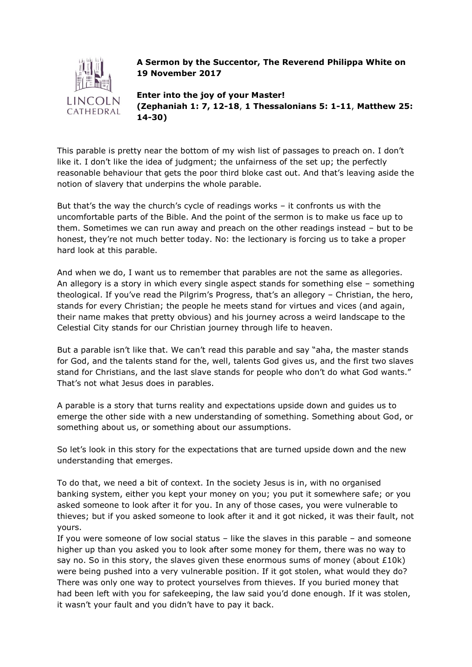

## **A Sermon by the Succentor, The Reverend Philippa White on 19 November 2017**

**Enter into the joy of your Master! (Zephaniah 1: 7, 12-18**, **1 Thessalonians 5: 1-11**, **Matthew 25: 14-30)**

This parable is pretty near the bottom of my wish list of passages to preach on. I don't like it. I don't like the idea of judgment; the unfairness of the set up; the perfectly reasonable behaviour that gets the poor third bloke cast out. And that's leaving aside the notion of slavery that underpins the whole parable.

But that's the way the church's cycle of readings works – it confronts us with the uncomfortable parts of the Bible. And the point of the sermon is to make us face up to them. Sometimes we can run away and preach on the other readings instead – but to be honest, they're not much better today. No: the lectionary is forcing us to take a proper hard look at this parable.

And when we do, I want us to remember that parables are not the same as allegories. An allegory is a story in which every single aspect stands for something else – something theological. If you've read the Pilgrim's Progress, that's an allegory – Christian, the hero, stands for every Christian; the people he meets stand for virtues and vices (and again, their name makes that pretty obvious) and his journey across a weird landscape to the Celestial City stands for our Christian journey through life to heaven.

But a parable isn't like that. We can't read this parable and say "aha, the master stands for God, and the talents stand for the, well, talents God gives us, and the first two slaves stand for Christians, and the last slave stands for people who don't do what God wants." That's not what Jesus does in parables.

A parable is a story that turns reality and expectations upside down and guides us to emerge the other side with a new understanding of something. Something about God, or something about us, or something about our assumptions.

So let's look in this story for the expectations that are turned upside down and the new understanding that emerges.

To do that, we need a bit of context. In the society Jesus is in, with no organised banking system, either you kept your money on you; you put it somewhere safe; or you asked someone to look after it for you. In any of those cases, you were vulnerable to thieves; but if you asked someone to look after it and it got nicked, it was their fault, not yours.

If you were someone of low social status – like the slaves in this parable – and someone higher up than you asked you to look after some money for them, there was no way to say no. So in this story, the slaves given these enormous sums of money (about £10k) were being pushed into a very vulnerable position. If it got stolen, what would they do? There was only one way to protect yourselves from thieves. If you buried money that had been left with you for safekeeping, the law said you'd done enough. If it was stolen, it wasn't your fault and you didn't have to pay it back.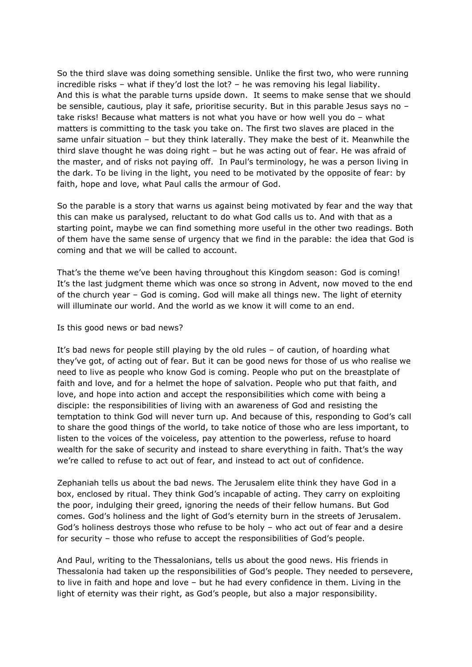So the third slave was doing something sensible. Unlike the first two, who were running incredible risks – what if they'd lost the lot? – he was removing his legal liability. And this is what the parable turns upside down. It seems to make sense that we should be sensible, cautious, play it safe, prioritise security. But in this parable Jesus says no – take risks! Because what matters is not what you have or how well you do – what matters is committing to the task you take on. The first two slaves are placed in the same unfair situation – but they think laterally. They make the best of it. Meanwhile the third slave thought he was doing right – but he was acting out of fear. He was afraid of the master, and of risks not paying off. In Paul's terminology, he was a person living in the dark. To be living in the light, you need to be motivated by the opposite of fear: by faith, hope and love, what Paul calls the armour of God.

So the parable is a story that warns us against being motivated by fear and the way that this can make us paralysed, reluctant to do what God calls us to. And with that as a starting point, maybe we can find something more useful in the other two readings. Both of them have the same sense of urgency that we find in the parable: the idea that God is coming and that we will be called to account.

That's the theme we've been having throughout this Kingdom season: God is coming! It's the last judgment theme which was once so strong in Advent, now moved to the end of the church year – God is coming. God will make all things new. The light of eternity will illuminate our world. And the world as we know it will come to an end.

Is this good news or bad news?

It's bad news for people still playing by the old rules – of caution, of hoarding what they've got, of acting out of fear. But it can be good news for those of us who realise we need to live as people who know God is coming. People who put on the breastplate of faith and love, and for a helmet the hope of salvation. People who put that faith, and love, and hope into action and accept the responsibilities which come with being a disciple: the responsibilities of living with an awareness of God and resisting the temptation to think God will never turn up. And because of this, responding to God's call to share the good things of the world, to take notice of those who are less important, to listen to the voices of the voiceless, pay attention to the powerless, refuse to hoard wealth for the sake of security and instead to share everything in faith. That's the way we're called to refuse to act out of fear, and instead to act out of confidence.

Zephaniah tells us about the bad news. The Jerusalem elite think they have God in a box, enclosed by ritual. They think God's incapable of acting. They carry on exploiting the poor, indulging their greed, ignoring the needs of their fellow humans. But God comes. God's holiness and the light of God's eternity burn in the streets of Jerusalem. God's holiness destroys those who refuse to be holy – who act out of fear and a desire for security – those who refuse to accept the responsibilities of God's people.

And Paul, writing to the Thessalonians, tells us about the good news. His friends in Thessalonia had taken up the responsibilities of God's people. They needed to persevere, to live in faith and hope and love – but he had every confidence in them. Living in the light of eternity was their right, as God's people, but also a major responsibility.